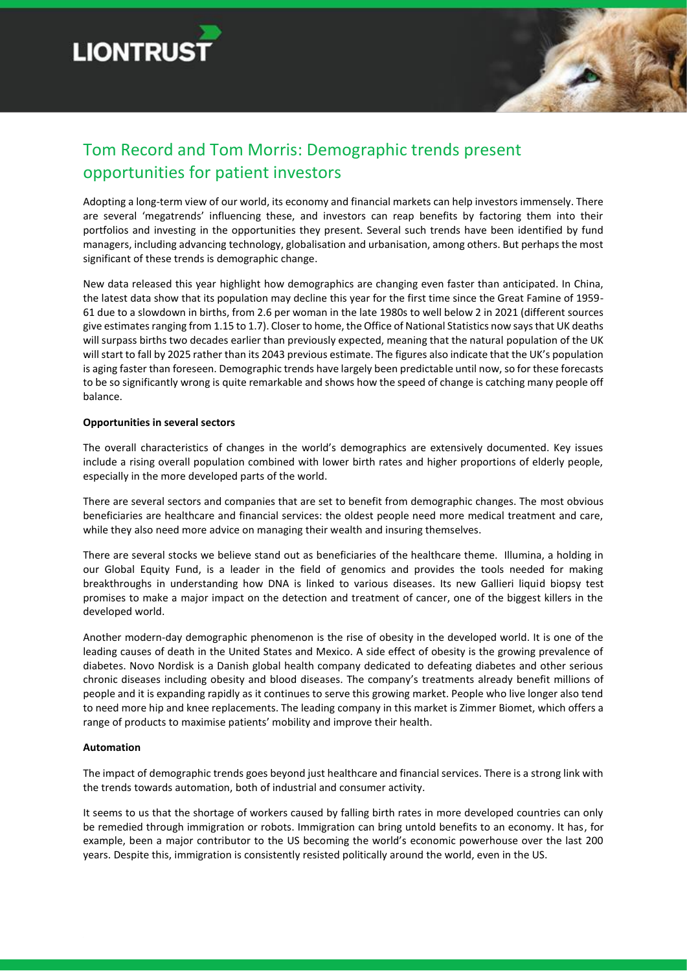



# Tom Record and Tom Morris: Demographic trends present opportunities for patient investors

Adopting a long-term view of our world, its economy and financial markets can help investors immensely. There are several 'megatrends' influencing these, and investors can reap benefits by factoring them into their portfolios and investing in the opportunities they present. Several such trends have been identified by fund managers, including advancing technology, globalisation and urbanisation, among others. But perhaps the most significant of these trends is demographic change.

New data released this year highlight how demographics are changing even faster than anticipated. In China, the latest data show that its population may decline this year for the first time since the Great Famine of 1959- 61 due to a slowdown in births, from 2.6 per woman in the late 1980s to well below 2 in 2021 (different sources give estimates ranging from 1.15 to 1.7). Closer to home, the Office of National Statistics now says that UK deaths will surpass births two decades earlier than previously expected, meaning that the natural population of the UK will start to fall by 2025 rather than its 2043 previous estimate. The figures also indicate that the UK's population is aging faster than foreseen. Demographic trends have largely been predictable until now, so for these forecasts to be so significantly wrong is quite remarkable and shows how the speed of change is catching many people off balance.

#### **Opportunities in several sectors**

The overall characteristics of changes in the world's demographics are extensively documented. Key issues include a rising overall population combined with lower birth rates and higher proportions of elderly people, especially in the more developed parts of the world.

There are several sectors and companies that are set to benefit from demographic changes. The most obvious beneficiaries are healthcare and financial services: the oldest people need more medical treatment and care, while they also need more advice on managing their wealth and insuring themselves.

There are several stocks we believe stand out as beneficiaries of the healthcare theme. Illumina, a holding in our Global Equity Fund, is a leader in the field of genomics and provides the tools needed for making breakthroughs in understanding how DNA is linked to various diseases. Its new Gallieri liquid biopsy test promises to make a major impact on the detection and treatment of cancer, one of the biggest killers in the developed world.

Another modern-day demographic phenomenon is the rise of obesity in the developed world. It is one of the leading causes of death in the United States and Mexico. A side effect of obesity is the growing prevalence of diabetes. Novo Nordisk is a Danish global health company dedicated to defeating diabetes and other serious chronic diseases including obesity and blood diseases. The company's treatments already benefit millions of people and it is expanding rapidly as it continues to serve this growing market. People who live longer also tend to need more hip and knee replacements. The leading company in this market is Zimmer Biomet, which offers a range of products to maximise patients' mobility and improve their health.

## **Automation**

The impact of demographic trends goes beyond just healthcare and financial services. There is a strong link with the trends towards automation, both of industrial and consumer activity.

It seems to us that the shortage of workers caused by falling birth rates in more developed countries can only be remedied through immigration or robots. Immigration can bring untold benefits to an economy. It has, for example, been a major contributor to the US becoming the world's economic powerhouse over the last 200 years. Despite this, immigration is consistently resisted politically around the world, even in the US.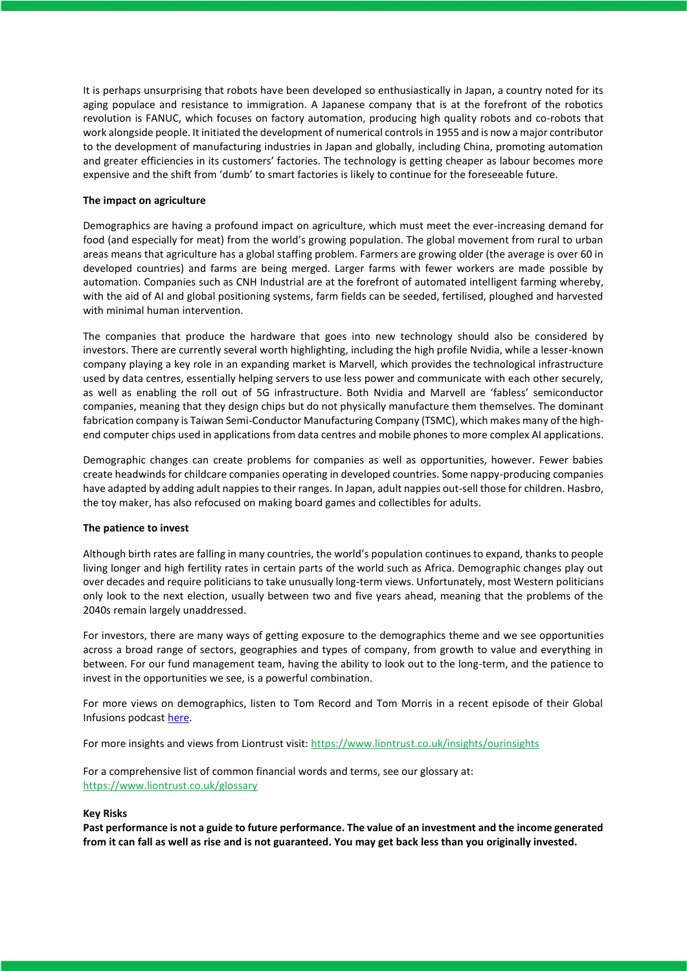It is perhaps unsurprising that robots have been developed so enthusiastically in Japan, a country noted for its aging populace and resistance to immigration. A Japanese company that is at the forefront of the robotics revolution is FANUC, which focuses on factory automation, producing high quality robots and co-robots that work alongside people. It initiated the development of numerical controls in 1955 and is now a major contributor to the development of manufacturing industries in Japan and globally, including China, promoting automation and greater efficiencies in its customers' factories. The technology is getting cheaper as labour becomes more expensive and the shift from 'dumb' to smart factories is likely to continue for the foreseeable future.

### **The impact on agriculture**

Demographics are having a profound impact on agriculture, which must meet the ever-increasing demand for food (and especially for meat) from the world's growing population. The global movement from rural to urban areas means that agriculture has a global staffing problem. Farmers are growing older (the average is over 60 in developed countries) and farms are being merged. Larger farms with fewer workers are made possible by automation. Companies such as CNH Industrial are at the forefront of automated intelligent farming whereby, with the aid of AI and global positioning systems, farm fields can be seeded, fertilised, ploughed and harvested with minimal human intervention.

The companies that produce the hardware that goes into new technology should also be considered by investors. There are currently several worth highlighting, including the high profile Nvidia, while a lesser-known company playing a key role in an expanding market is Marvell, which provides the technological infrastructure used by data centres, essentially helping servers to use less power and communicate with each other securely, as well as enabling the roll out of 5G infrastructure. Both Nvidia and Marvell are 'fabless' semiconductor companies, meaning that they design chips but do not physically manufacture them themselves. The dominant fabrication company is Taiwan Semi-Conductor Manufacturing Company (TSMC), which makes many of the highend computer chips used in applications from data centres and mobile phones to more complex AI applications.

Demographic changes can create problems for companies as well as opportunities, however. Fewer babies create headwinds for childcare companies operating in developed countries. Some nappy-producing companies have adapted by adding adult nappies to their ranges. In Japan, adult nappies out-sell those for children. Hasbro, the toy maker, has also refocused on making board games and collectibles for adults.

#### **The patience to invest**

Although birth rates are falling in many countries, the world's population continues to expand, thanks to people living longer and high fertility rates in certain parts of the world such as Africa. Demographic changes play out over decades and require politicians to take unusually long-term views. Unfortunately, most Western politicians only look to the next election, usually between two and five years ahead, meaning that the problems of the 2040s remain largely unaddressed.

For investors, there are many ways of getting exposure to the demographics theme and we see opportunities across a broad range of sectors, geographies and types of company, from growth to value and everything in between. For our fund management team, having the ability to look out to the long-term, and the patience to invest in the opportunities we see, is a powerful combination.

For more views on demographics, listen to Tom Record and Tom Morris in a recent episode of their Global Infusions podcas[t here.](https://www.liontrust.co.uk/insights/podcasts/global-infusions/demographics)

For more insights and views from Liontrust visit: <https://www.liontrust.co.uk/insights/ourinsights>

For a comprehensive list of common financial words and terms, see our glossary at: <https://www.liontrust.co.uk/glossary>

#### **Key Risks**

**Past performance is not a guide to future performance. The value of an investment and the income generated from it can fall as well as rise and is not guaranteed. You may get back less than you originally invested.**